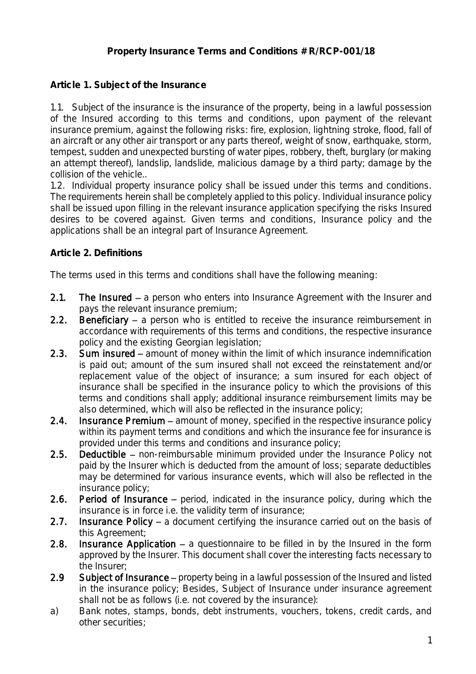## **Article 1. Subject of the Insurance**

1.1. Subject of the insurance is the insurance of the property, being in a lawful possession of the Insured according to this terms and conditions, upon payment of the relevant insurance premium, against the following risks: fire, explosion, lightning stroke, flood, fall of an aircraft or any other air transport or any parts thereof, weight of snow, earthquake, storm, tempest, sudden and unexpected bursting of water pipes, robbery, theft, burglary (or making an attempt thereof), landslip, landslide, malicious damage by a third party; damage by the collision of the vehicle..

1.2. Individual property insurance policy shall be issued under this terms and conditions. The requirements herein shall be completely applied to this policy. Individual insurance policy shall be issued upon filling in the relevant insurance application specifying the risks Insured desires to be covered against. Given terms and conditions, Insurance policy and the applications shall be an integral part of Insurance Agreement.

### **Article 2. Definitions**

The terms used in this terms and conditions shall have the following meaning:

- 2.1. The Insured  $-$  a person who enters into Insurance Agreement with the Insurer and pays the relevant insurance premium;
- 2.2. Beneficiary  $-$  a person who is entitled to receive the insurance reimbursement in accordance with requirements of this terms and conditions, the respective insurance policy and the existing Georgian legislation;
- 2.3. Sum insured amount of money within the limit of which insurance indemnification is paid out; amount of the sum insured shall not exceed the reinstatement and/or replacement value of the object of insurance; a sum insured for each object of insurance shall be specified in the insurance policy to which the provisions of this terms and conditions shall apply; additional insurance reimbursement limits may be also determined, which will also be reflected in the insurance policy;
- 2.4. Insurance Premium amount of money, specified in the respective insurance policy within its payment terms and conditions and which the insurance fee for insurance is provided under this terms and conditions and insurance policy;
- 2.5. Deductible non-reimbursable minimum provided under the Insurance Policy not paid by the Insurer which is deducted from the amount of loss; separate deductibles may be determined for various insurance events, which will also be reflected in the insurance policy;
- 2.6. Period of Insurance  $-$  period, indicated in the insurance policy, during which the insurance is in force i.e. the validity term of insurance;
- 2.7. Insurance Policy  $-$  a document certifying the insurance carried out on the basis of this Agreement;
- 2.8. Insurance Application  $-$  a questionnaire to be filled in by the Insured in the form approved by the Insurer. This document shall cover the interesting facts necessary to the Insurer;
- 2.9 Subject of Insurance property being in a lawful possession of the Insured and listed in the insurance policy; Besides, Subject of Insurance under insurance agreement shall not be as follows (i.e. not covered by the insurance):
- a) Bank notes, stamps, bonds, debt instruments, vouchers, tokens, credit cards, and other securities;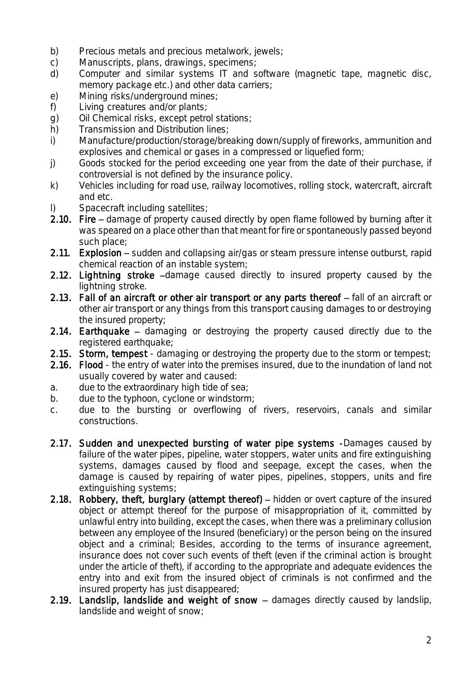- b) Precious metals and precious metalwork, jewels;<br>c) Manuscripts, plans, drawings, specimens;
- c) Manuscripts, plans, drawings, specimens;<br>d) Computer and similar systems IT and s
- Computer and similar systems IT and software (magnetic tape, magnetic disc, memory package etc.) and other data carriers;
- e) Mining risks/underground mines;
- f) Living creatures and/or plants;
- g) Oil Chemical risks, except petrol stations;<br>h) Transmission and Distribution lines:
- h) Transmission and Distribution lines;<br>i) Manufacture/production/storage/bre
- Manufacture/production/storage/breaking down/supply of fireworks, ammunition and explosives and chemical or gases in a compressed or liquefied form;
- j) Goods stocked for the period exceeding one year from the date of their purchase, if controversial is not defined by the insurance policy.
- k) Vehicles including for road use, railway locomotives, rolling stock, watercraft, aircraft and etc.
- Spacecraft including satellites;
- 2.10. Fire damage of property caused directly by open flame followed by burning after it was speared on a place other than that meant for fire or spontaneously passed beyond such place;
- 2.11. Explosion  $-$  sudden and collapsing air/gas or steam pressure intense outburst, rapid chemical reaction of an instable system;
- 2.12. Lightning stroke -damage caused directly to insured property caused by the lightning stroke.
- 2.13. Fall of an aircraft or other air transport or any parts thereof  $-$  fall of an aircraft or other air transport or any things from this transport causing damages to or destroying the insured property;
- 2.14. Earthquake  $-$  damaging or destroving the property caused directly due to the registered earthquake;
- 2.15. Storm, tempest damaging or destroying the property due to the storm or tempest;
- 2.16. Flood the entry of water into the premises insured, due to the inundation of land not usually covered by water and caused:
- a. due to the extraordinary high tide of sea;
- b. due to the typhoon, cyclone or windstorm;
- c. due to the bursting or overflowing of rivers, reservoirs, canals and similar constructions.
- 2.17. Sudden and unexpected bursting of water pipe systems -Damages caused by failure of the water pipes, pipeline, water stoppers, water units and fire extinguishing systems, damages caused by flood and seepage, except the cases, when the damage is caused by repairing of water pipes, pipelines, stoppers, units and fire extinguishing systems;
- 2.18. Robbery, theft, burglary (attempt thereof)  $-$  hidden or overt capture of the insured object or attempt thereof for the purpose of misappropriation of it, committed by unlawful entry into building, except the cases, when there was a preliminary collusion between any employee of the Insured (beneficiary) or the person being on the insured object and a criminal; Besides, according to the terms of insurance agreement, insurance does not cover such events of theft (even if the criminal action is brought under the article of theft), if according to the appropriate and adequate evidences the entry into and exit from the insured object of criminals is not confirmed and the insured property has just disappeared;
- 2.19. Landslip, landslide and weight of snow  $-$  damages directly caused by landslip, landslide and weight of snow;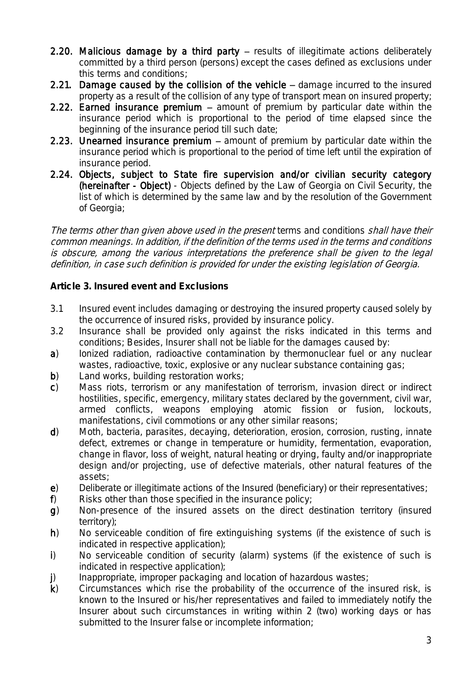- 2.20. Malicious damage by a third party  $-$  results of illegitimate actions deliberately committed by a third person (persons) except the cases defined as exclusions under this terms and conditions;
- 2.21. Damage caused by the collision of the vehicle  $-$  damage incurred to the insured property as a result of the collision of any type of transport mean on insured property;
- 2.22. Earned insurance premium  $-$  amount of premium by particular date within the insurance period which is proportional to the period of time elapsed since the beginning of the insurance period till such date;
- 2.23. Unearned insurance premium  $-$  amount of premium by particular date within the insurance period which is proportional to the period of time left until the expiration of insurance period.
- 2.24. Objects, subject to State fire supervision and/or civilian security category (hereinafter - Object) - Objects defined by the Law of Georgia on Civil Security, the list of which is determined by the same law and by the resolution of the Government of Georgia;

The terms other than given above used in the present terms and conditions shall have their common meanings. In addition, if the definition of the terms used in the terms and conditions is obscure, among the various interpretations the preference shall be given to the legal definition, in case such definition is provided for under the existing legislation of Georgia.

**Article 3. Insured event and Exclusions**

- 3.1 Insured event includes damaging or destroying the insured property caused solely by the occurrence of insured risks, provided by insurance policy.
- 3.2 Insurance shall be provided only against the risks indicated in this terms and conditions; Besides, Insurer shall not be liable for the damages caused by:
- a) Ionized radiation, radioactive contamination by thermonuclear fuel or any nuclear wastes, radioactive, toxic, explosive or any nuclear substance containing gas;
- b) Land works, building restoration works;
- c) Mass riots, terrorism or any manifestation of terrorism, invasion direct or indirect hostilities, specific, emergency, military states declared by the government, civil war, armed conflicts, weapons employing atomic fission or fusion, lockouts, manifestations, civil commotions or any other similar reasons;
- d) Moth, bacteria, parasites, decaying, deterioration, erosion, corrosion, rusting, innate defect, extremes or change in temperature or humidity, fermentation, evaporation, change in flavor, loss of weight, natural heating or drying, faulty and/or inappropriate design and/or projecting, use of defective materials, other natural features of the assets;
- e) Deliberate or illegitimate actions of the Insured (beneficiary) or their representatives;
- f) Risks other than those specified in the insurance policy;
- g) Non-presence of the insured assets on the direct destination territory (insured territory);
- h) No serviceable condition of fire extinguishing systems (if the existence of such is indicated in respective application);
- i) No serviceable condition of security (alarm) systems (if the existence of such is indicated in respective application);
- j) Inappropriate, improper packaging and location of hazardous wastes;
- k) Circumstances which rise the probability of the occurrence of the insured risk, is known to the Insured or his/her representatives and failed to immediately notify the Insurer about such circumstances in writing within 2 (two) working days or has submitted to the Insurer false or incomplete information;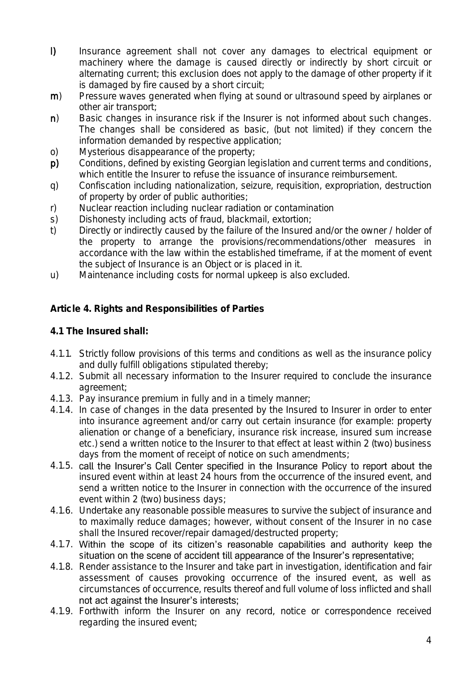- I) Insurance agreement shall not cover any damages to electrical equipment or machinery where the damage is caused directly or indirectly by short circuit or alternating current; this exclusion does not apply to the damage of other property if it is damaged by fire caused by a short circuit;
- m) Pressure waves generated when flying at sound or ultrasound speed by airplanes or other air transport;
- n) Basic changes in insurance risk if the Insurer is not informed about such changes. The changes shall be considered as basic, (but not limited) if they concern the information demanded by respective application;
- o) Mysterious disappearance of the property;
- p) Conditions, defined by existing Georgian legislation and current terms and conditions, which entitle the Insurer to refuse the issuance of insurance reimbursement.
- q) Confiscation including nationalization, seizure, requisition, expropriation, destruction of property by order of public authorities;
- r) Nuclear reaction including nuclear radiation or contamination
- s) Dishonesty including acts of fraud, blackmail, extortion;
- t) Directly or indirectly caused by the failure of the Insured and/or the owner / holder of the property to arrange the provisions/recommendations/other measures in accordance with the law within the established timeframe, if at the moment of event the subject of Insurance is an Object or is placed in it.
- u) Maintenance including costs for normal upkeep is also excluded.

**Article 4. Rights and Responsibilities of Parties**

- **4.1 The Insured shall:**
- 4.1.1. Strictly follow provisions of this terms and conditions as well as the insurance policy and dully fulfill obligations stipulated thereby;
- 4.1.2. Submit all necessary information to the Insurer required to conclude the insurance agreement;
- 4.1.3. Pay insurance premium in fully and in a timely manner;
- 4.1.4. In case of changes in the data presented by the Insured to Insurer in order to enter into insurance agreement and/or carry out certain insurance (for example: property alienation or change of a beneficiary, insurance risk increase, insured sum increase etc.) send a written notice to the Insurer to that effect at least within 2 (two) business days from the moment of receipt of notice on such amendments;
- 4.1.5. call the Insurer's Call Center specified in the Insurance Policy to report about the insured event within at least 24 hours from the occurrence of the insured event, and send a written notice to the Insurer in connection with the occurrence of the insured event within 2 (two) business days;
- 4.1.6. Undertake any reasonable possible measures to survive the subject of insurance and to maximally reduce damages; however, without consent of the Insurer in no case shall the Insured recover/repair damaged/destructed property;
- 4.1.7. Within the scope of its citizen's reasonable capabilities and authority keep the situation on the scene of accident till appearance of the Insurer's representative;
- 4.1.8. Render assistance to the Insurer and take part in investigation, identification and fair assessment of causes provoking occurrence of the insured event, as well as circumstances of occurrence, results thereof and full volume of loss inflicted and shall not act against the Insurer's interests:
- 4.1.9. Forthwith inform the Insurer on any record, notice or correspondence received regarding the insured event;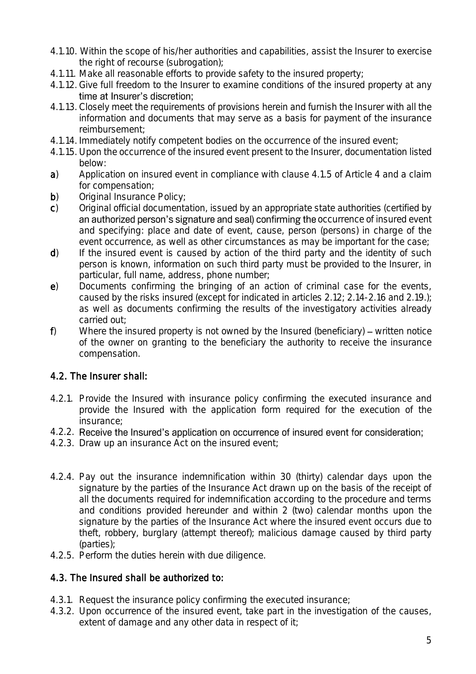- 4.1.10. Within the scope of his/her authorities and capabilities, assist the Insurer to exercise the right of recourse (subrogation);
- 4.1.11. Make all reasonable efforts to provide safety to the insured property;
- 4.1.12. Give full freedom to the Insurer to examine conditions of the insured property at any time at Insurer's discretion:
- 4.1.13. Closely meet the requirements of provisions herein and furnish the Insurer with all the information and documents that may serve as a basis for payment of the insurance reimbursement;
- 4.1.14. Immediately notify competent bodies on the occurrence of the insured event;
- 4.1.15. Upon the occurrence of the insured event present to the Insurer, documentation listed below:
- a) Application on insured event in compliance with clause 4.1.5 of Article 4 and a claim for compensation;
- b) Original Insurance Policy;
- c) Original official documentation, issued by an appropriate state authorities (certified by an authorized person's signature and seal) confirming the occurrence of insured event and specifying: place and date of event, cause, person (persons) in charge of the event occurrence, as well as other circumstances as may be important for the case;
- d) If the insured event is caused by action of the third party and the identity of such person is known, information on such third party must be provided to the Insurer, in particular, full name, address, phone number;
- e) Documents confirming the bringing of an action of criminal case for the events, caused by the risks insured (except for indicated in articles 2.12; 2.14-2.16 and 2.19.); as well as documents confirming the results of the investigatory activities already carried out;
- $f$ ) Where the insured property is not owned by the Insured (beneficiary) written notice of the owner on granting to the beneficiary the authority to receive the insurance compensation.

# 4.2. The Insurer shall:

- 4.2.1. Provide the Insured with insurance policy confirming the executed insurance and provide the Insured with the application form required for the execution of the insurance;
- 4.2.2. Receive the Insured's application on occurrence of insured event for consideration;
- 4.2.3. Draw up an insurance Act on the insured event;
- 4.2.4. Pay out the insurance indemnification within 30 (thirty) calendar days upon the signature by the parties of the Insurance Act drawn up on the basis of the receipt of all the documents required for indemnification according to the procedure and terms and conditions provided hereunder and within 2 (two) calendar months upon the signature by the parties of the Insurance Act where the insured event occurs due to theft, robbery, burglary (attempt thereof); malicious damage caused by third party (parties);
- 4.2.5. Perform the duties herein with due diligence.

# 4.3. The Insured shall be authorized to:

- 4.3.1. Request the insurance policy confirming the executed insurance;
- 4.3.2. Upon occurrence of the insured event, take part in the investigation of the causes, extent of damage and any other data in respect of it;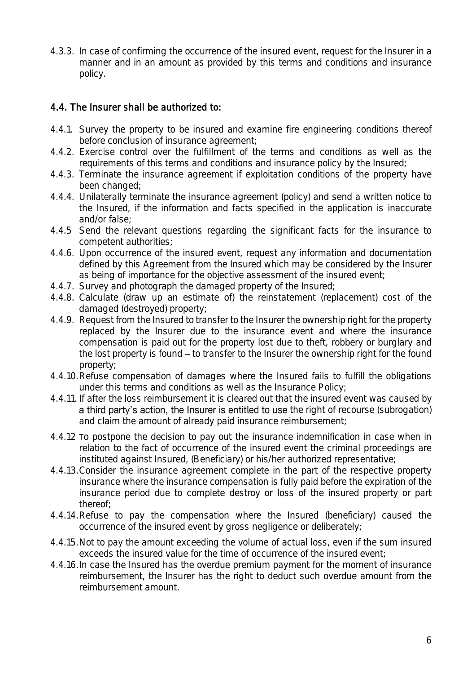4.3.3. In case of confirming the occurrence of the insured event, request for the Insurer in a manner and in an amount as provided by this terms and conditions and insurance policy.

## 4.4. The Insurer shall be authorized to:

- 4.4.1. Survey the property to be insured and examine fire engineering conditions thereof before conclusion of insurance agreement;
- 4.4.2. Exercise control over the fulfillment of the terms and conditions as well as the requirements of this terms and conditions and insurance policy by the Insured;
- 4.4.3. Terminate the insurance agreement if exploitation conditions of the property have been changed;
- 4.4.4. Unilaterally terminate the insurance agreement (policy) and send a written notice to the Insured, if the information and facts specified in the application is inaccurate and/or false;
- 4.4.5 Send the relevant questions regarding the significant facts for the insurance to competent authorities;
- 4.4.6. Upon occurrence of the insured event, request any information and documentation defined by this Agreement from the Insured which may be considered by the Insurer as being of importance for the objective assessment of the insured event;
- 4.4.7. Survey and photograph the damaged property of the Insured;
- 4.4.8. Calculate (draw up an estimate of) the reinstatement (replacement) cost of the damaged (destroyed) property;
- 4.4.9. Request from the Insured to transfer to the Insurer the ownership right for the property replaced by the Insurer due to the insurance event and where the insurance compensation is paid out for the property lost due to theft, robbery or burglary and the lost property is found  $-$  to transfer to the Insurer the ownership right for the found property;
- 4.4.10.Refuse compensation of damages where the Insured fails to fulfill the obligations under this terms and conditions as well as the Insurance Policy;
- 4.4.11. If after the loss reimbursement it is cleared out that the insured event was caused by a third party's action, the Insurer is entitled to use the right of recourse (subrogation) and claim the amount of already paid insurance reimbursement;
- 4.4.12 To postpone the decision to pay out the insurance indemnification in case when in relation to the fact of occurrence of the insured event the criminal proceedings are instituted against Insured, (Beneficiary) or his/her authorized representative;
- 4.4.13.Consider the insurance agreement complete in the part of the respective property insurance where the insurance compensation is fully paid before the expiration of the insurance period due to complete destroy or loss of the insured property or part thereof;
- 4.4.14.Refuse to pay the compensation where the Insured (beneficiary) caused the occurrence of the insured event by gross negligence or deliberately;
- 4.4.15.Not to pay the amount exceeding the volume of actual loss, even if the sum insured exceeds the insured value for the time of occurrence of the insured event;
- 4.4.16.In case the Insured has the overdue premium payment for the moment of insurance reimbursement, the Insurer has the right to deduct such overdue amount from the reimbursement amount.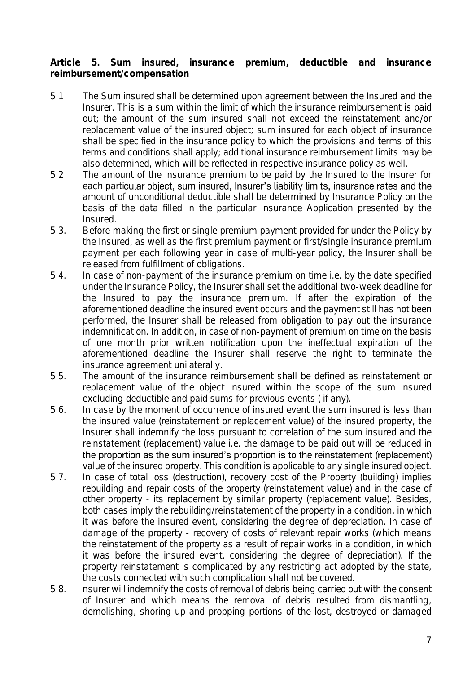**Article 5. Sum insured, insurance premium, deductible and insurance reimbursement/compensation**

- 5.1 The Sum insured shall be determined upon agreement between the Insured and the Insurer. This is a sum within the limit of which the insurance reimbursement is paid out; the amount of the sum insured shall not exceed the reinstatement and/or replacement value of the insured object; sum insured for each object of insurance shall be specified in the insurance policy to which the provisions and terms of this terms and conditions shall apply; additional insurance reimbursement limits may be also determined, which will be reflected in respective insurance policy as well.
- 5.2 The amount of the insurance premium to be paid by the Insured to the Insurer for each particular object, sum insured, Insurer's liability limits, insurance rates and the amount of unconditional deductible shall be determined by Insurance Policy on the basis of the data filled in the particular Insurance Application presented by the Insured.
- 5.3. Before making the first or single premium payment provided for under the Policy by the Insured, as well as the first premium payment or first/single insurance premium payment per each following year in case of multi-year policy, the Insurer shall be released from fulfillment of obligations.
- 5.4. In case of non-payment of the insurance premium on time i.e. by the date specified under the Insurance Policy, the Insurer shall set the additional two-week deadline for the Insured to pay the insurance premium. If after the expiration of the aforementioned deadline the insured event occurs and the payment still has not been performed, the Insurer shall be released from obligation to pay out the insurance indemnification. In addition, in case of non-payment of premium on time on the basis of one month prior written notification upon the ineffectual expiration of the aforementioned deadline the Insurer shall reserve the right to terminate the insurance agreement unilaterally.
- 5.5. The amount of the insurance reimbursement shall be defined as reinstatement or replacement value of the object insured within the scope of the sum insured excluding deductible and paid sums for previous events ( if any).
- 5.6. In case by the moment of occurrence of insured event the sum insured is less than the insured value (reinstatement or replacement value) of the insured property, the Insurer shall indemnify the loss pursuant to correlation of the sum insured and the reinstatement (replacement) value i.e. the damage to be paid out will be reduced in the proportion as the sum insured's proportion is to the reinstatement (replacement) value of the insured property. This condition is applicable to any single insured object.
- 5.7. In case of total loss (destruction), recovery cost of the Property (building) implies rebuilding and repair costs of the property (reinstatement value) and in the case of other property - its replacement by similar property (replacement value). Besides, both cases imply the rebuilding/reinstatement of the property in a condition, in which it was before the insured event, considering the degree of depreciation. In case of damage of the property - recovery of costs of relevant repair works (which means the reinstatement of the property as a result of repair works in a condition, in which it was before the insured event, considering the degree of depreciation). If the property reinstatement is complicated by any restricting act adopted by the state, the costs connected with such complication shall not be covered.
- 5.8. nsurer will indemnify the costs of removal of debris being carried out with the consent of Insurer and which means the removal of debris resulted from dismantling, demolishing, shoring up and propping portions of the lost, destroyed or damaged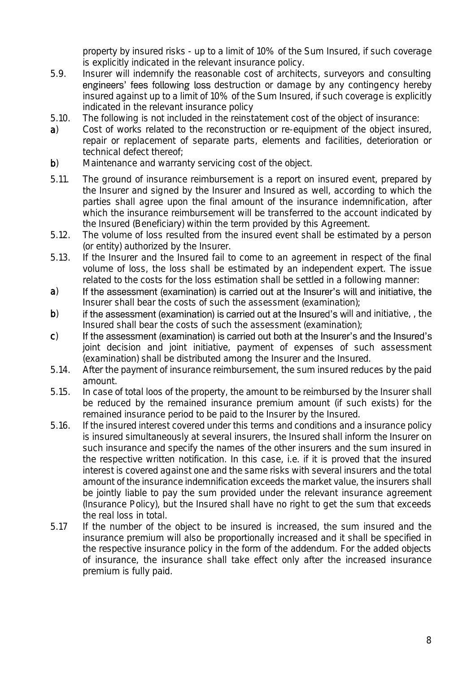property by insured risks - up to a limit of 10% of the Sum Insured, if such coverage is explicitly indicated in the relevant insurance policy.

- 5.9. Insurer will indemnify the reasonable cost of architects, surveyors and consulting engineers' fees following loss destruction or damage by any contingency hereby insured against up to a limit of 10% of the Sum Insured, if such coverage is explicitly indicated in the relevant insurance policy
- 5.10. The following is not included in the reinstatement cost of the object of insurance:
- a) Cost of works related to the reconstruction or re-equipment of the object insured, repair or replacement of separate parts, elements and facilities, deterioration or technical defect thereof;
- b) Maintenance and warranty servicing cost of the object.
- 5.11. The ground of insurance reimbursement is a report on insured event, prepared by the Insurer and signed by the Insurer and Insured as well, according to which the parties shall agree upon the final amount of the insurance indemnification, after which the insurance reimbursement will be transferred to the account indicated by the Insured (Beneficiary) within the term provided by this Agreement.
- 5.12. The volume of loss resulted from the insured event shall be estimated by a person (or entity) authorized by the Insurer.
- 5.13. If the Insurer and the Insured fail to come to an agreement in respect of the final volume of loss, the loss shall be estimated by an independent expert. The issue related to the costs for the loss estimation shall be settled in a following manner:
- If the assessment (examination) is carried out at the Insurer's will and initiative, the a) Insurer shall bear the costs of such the assessment (examination);
- b) if the assessment (examination) is carried out at the Insured's will and initiative, the Insured shall bear the costs of such the assessment (examination);
- c) If the assessment (examination) is carried out both at the Insurer's and the Insured's joint decision and joint initiative, payment of expenses of such assessment (examination) shall be distributed among the Insurer and the Insured.
- 5.14. After the payment of insurance reimbursement, the sum insured reduces by the paid amount.
- 5.15. In case of total loos of the property, the amount to be reimbursed by the Insurer shall be reduced by the remained insurance premium amount (if such exists) for the remained insurance period to be paid to the Insurer by the Insured.
- 5.16. If the insured interest covered under this terms and conditions and a insurance policy is insured simultaneously at several insurers, the Insured shall inform the Insurer on such insurance and specify the names of the other insurers and the sum insured in the respective written notification. In this case, i.e. if it is proved that the insured interest is covered against one and the same risks with several insurers and the total amount of the insurance indemnification exceeds the market value, the insurers shall be jointly liable to pay the sum provided under the relevant insurance agreement (Insurance Policy), but the Insured shall have no right to get the sum that exceeds the real loss in total.
- 5.17 If the number of the object to be insured is increased, the sum insured and the insurance premium will also be proportionally increased and it shall be specified in the respective insurance policy in the form of the addendum. For the added objects of insurance, the insurance shall take effect only after the increased insurance premium is fully paid.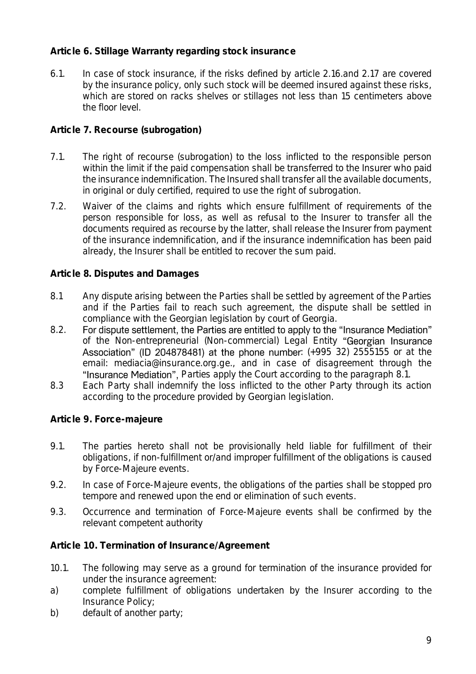### **Article 6. Stillage Warranty regarding stock insurance**

6.1. In case of stock insurance, if the risks defined by article 2.16.and 2.17 are covered by the insurance policy, only such stock will be deemed insured against these risks, which are stored on racks shelves or stillages not less than 15 centimeters above the floor level.

### **Article 7. Recourse (subrogation)**

- 7.1. The right of recourse (subrogation) to the loss inflicted to the responsible person within the limit if the paid compensation shall be transferred to the Insurer who paid the insurance indemnification. The Insured shall transfer all the available documents, in original or duly certified, required to use the right of subrogation.
- 7.2. Waiver of the claims and rights which ensure fulfillment of requirements of the person responsible for loss, as well as refusal to the Insurer to transfer all the documents required as recourse by the latter, shall release the Insurer from payment of the insurance indemnification, and if the insurance indemnification has been paid already, the Insurer shall be entitled to recover the sum paid.

### **Article 8. Disputes and Damages**

- 8.1 Any dispute arising between the Parties shall be settled by agreement of the Parties and if the Parties fail to reach such agreement, the dispute shall be settled in compliance with the Georgian legislation by court of Georgia.<br>For dispute settlement, the Parties are entitled to apply to the "Insurance Mediation"
- 8.2 of the Non-entrepreneurial (Non-commercial) Legal Entity "Georgian Insurance Association" (ID 204878481) at the phone number:  $(+995\,32)$  2555155 or at the email: [mediacia@insurance.org.ge.](mailto:mediacia@insurance.org.ge), and in case of disagreement through the "Insurance Mediation", Parties apply the Court according to the paragraph 8.1.
- 8.3 Each Party shall indemnify the loss inflicted to the other Party through its action according to the procedure provided by Georgian legislation.

**Article 9. Force-majeure**

- 9.1. The parties hereto shall not be provisionally held liable for fulfillment of their obligations, if non-fulfillment or/and improper fulfillment of the obligations is caused by Force-Majeure events.
- 9.2. In case of Force-Majeure events, the obligations of the parties shall be stopped pro tempore and renewed upon the end or elimination of such events.
- 9.3. Occurrence and termination of Force-Majeure events shall be confirmed by the relevant competent authority

**Article 10. Termination of Insurance/Agreement**

- 10.1. The following may serve as a ground for termination of the insurance provided for under the insurance agreement:
- a) complete fulfillment of obligations undertaken by the Insurer according to the Insurance Policy;
- b) default of another party;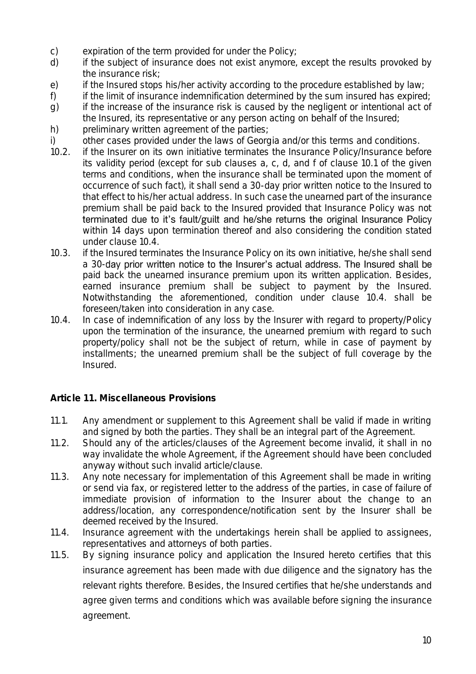- c) expiration of the term provided for under the Policy;<br>d) if the subject of insurance does not exist anymore,
- if the subject of insurance does not exist anymore, except the results provoked by the insurance risk;
- e) if the Insured stops his/her activity according to the procedure established by law;
- f) if the limit of insurance indemnification determined by the sum insured has expired;
- g) if the increase of the insurance risk is caused by the negligent or intentional act of the Insured, its representative or any person acting on behalf of the Insured;
- h) preliminary written agreement of the parties;
- i) other cases provided under the laws of Georgia and/or this terms and conditions.
- 10.2. if the Insurer on its own initiative terminates the Insurance Policy/Insurance before its validity period (except for sub clauses a, c, d, and f of clause 10.1 of the given terms and conditions, when the insurance shall be terminated upon the moment of occurrence of such fact), it shall send a 30-day prior written notice to the Insured to that effect to his/her actual address. In such case the unearned part of the insurance premium shall be paid back to the Insured provided that Insurance Policy was not terminated due to it's fault/guilt and he/she returns the original Insurance Policy within 14 days upon termination thereof and also considering the condition stated under clause 10.4.
- 10.3. if the Insured terminates the Insurance Policy on its own initiative, he/she shall send a 30-day prior written notice to the Insurer's actual address. The Insured shall be paid back the unearned insurance premium upon its written application. Besides, earned insurance premium shall be subject to payment by the Insured. Notwithstanding the aforementioned, condition under clause 10.4. shall be foreseen/taken into consideration in any case.
- 10.4. In case of indemnification of any loss by the Insurer with regard to property/Policy upon the termination of the insurance, the unearned premium with regard to such property/policy shall not be the subject of return, while in case of payment by installments; the unearned premium shall be the subject of full coverage by the Insured.

**Article 11. Miscellaneous Provisions**

- 11.1. Any amendment or supplement to this Agreement shall be valid if made in writing and signed by both the parties. They shall be an integral part of the Agreement.
- 11.2. Should any of the articles/clauses of the Agreement become invalid, it shall in no way invalidate the whole Agreement, if the Agreement should have been concluded anyway without such invalid article/clause.
- 11.3. Any note necessary for implementation of this Agreement shall be made in writing or send via fax, or registered letter to the address of the parties, in case of failure of immediate provision of information to the Insurer about the change to an address/location, any correspondence/notification sent by the Insurer shall be deemed received by the Insured.
- 11.4. Insurance agreement with the undertakings herein shall be applied to assignees, representatives and attorneys of both parties.
- 11.5. By signing insurance policy and application the Insured hereto certifies that this insurance agreement has been made with due diligence and the signatory has the relevant rights therefore. Besides, the Insured certifies that he/she understands and agree given terms and conditions which was available before signing the insurance agreement.